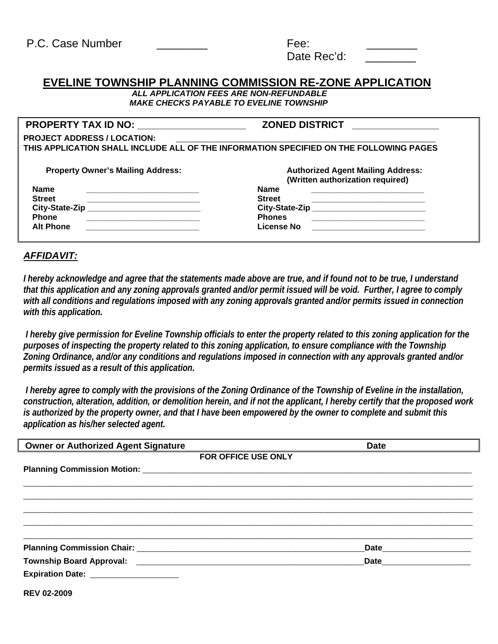| P.C. Case Number | Fee:        |  |
|------------------|-------------|--|
|                  | Date Rec'd: |  |

## **EVELINE TOWNSHIP PLANNING COMMISSION RE-ZONE APPLICATION**

 *ALL APPLICATION FEES ARE NON-REFUNDABLE MAKE CHECKS PAYABLE TO EVELINE TOWNSHIP* 

| PROPERTY TAX ID NO: __________________                               | <b>ZONED DISTRICT</b>                                                                  |  |
|----------------------------------------------------------------------|----------------------------------------------------------------------------------------|--|
| <b>PROJECT ADDRESS / LOCATION:</b>                                   |                                                                                        |  |
|                                                                      | THIS APPLICATION SHALL INCLUDE ALL OF THE INFORMATION SPECIFIED ON THE FOLLOWING PAGES |  |
|                                                                      |                                                                                        |  |
| <b>Property Owner's Mailing Address:</b>                             | <b>Authorized Agent Mailing Address:</b>                                               |  |
|                                                                      | (Written authorization required)                                                       |  |
| <b>Name</b>                                                          | <b>Name</b>                                                                            |  |
| <b>Street</b>                                                        | <b>Street</b>                                                                          |  |
| City-State-Zip<br><u> 1980 - John Stein, Amerikaansk politiker (</u> | City-State-Zip _____________________________                                           |  |
| <b>Phone</b>                                                         | <b>Phones</b>                                                                          |  |
| <b>Alt Phone</b>                                                     | License No                                                                             |  |

## *AFFIDAVIT:*

*I hereby acknowledge and agree that the statements made above are true, and if found not to be true, I understand that this application and any zoning approvals granted and/or permit issued will be void. Further, I agree to comply*  with all conditions and regulations imposed with any zoning approvals granted and/or permits issued in connection *with this application.* 

 *I hereby give permission for Eveline Township officials to enter the property related to this zoning application for the purposes of inspecting the property related to this zoning application, to ensure compliance with the Township Zoning Ordinance, and/or any conditions and regulations imposed in connection with any approvals granted and/or permits issued as a result of this application.* 

 *I hereby agree to comply with the provisions of the Zoning Ordinance of the Township of Eveline in the installation, construction, alteration, addition, or demolition herein, and if not the applicant, I hereby certify that the proposed work is authorized by the property owner, and that I have been empowered by the owner to complete and submit this application as his/her selected agent.* 

| <b>Owner or Authorized Agent Signature</b>        |                            | <b>Date</b>                                                                                                                                                                                                                    |  |
|---------------------------------------------------|----------------------------|--------------------------------------------------------------------------------------------------------------------------------------------------------------------------------------------------------------------------------|--|
|                                                   | <b>FOR OFFICE USE ONLY</b> |                                                                                                                                                                                                                                |  |
|                                                   |                            |                                                                                                                                                                                                                                |  |
|                                                   |                            |                                                                                                                                                                                                                                |  |
|                                                   |                            |                                                                                                                                                                                                                                |  |
|                                                   |                            |                                                                                                                                                                                                                                |  |
|                                                   |                            |                                                                                                                                                                                                                                |  |
|                                                   |                            |                                                                                                                                                                                                                                |  |
|                                                   |                            |                                                                                                                                                                                                                                |  |
| Township Board Approval: Township Board Approval: |                            | Date and the state of the state of the state of the state of the state of the state of the state of the state of the state of the state of the state of the state of the state of the state of the state of the state of the s |  |
| Expiration Date: ___________________              |                            |                                                                                                                                                                                                                                |  |
| <b>REV 02-2009</b>                                |                            |                                                                                                                                                                                                                                |  |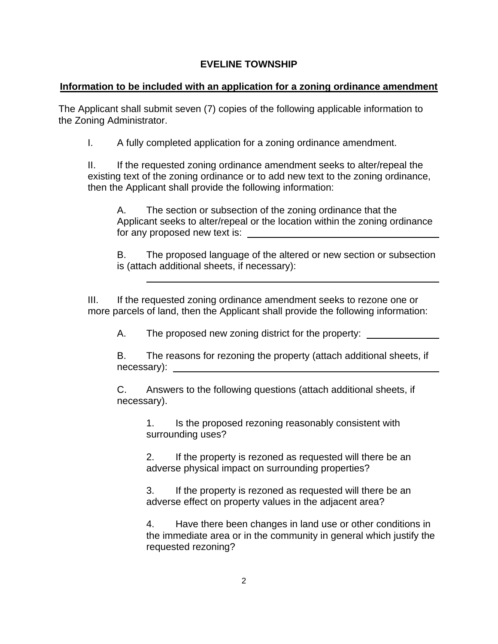## **EVELINE TOWNSHIP**

## **Information to be included with an application for a zoning ordinance amendment**

The Applicant shall submit seven (7) copies of the following applicable information to the Zoning Administrator.

I. A fully completed application for a zoning ordinance amendment.

II. If the requested zoning ordinance amendment seeks to alter/repeal the existing text of the zoning ordinance or to add new text to the zoning ordinance, then the Applicant shall provide the following information:

A. The section or subsection of the zoning ordinance that the Applicant seeks to alter/repeal or the location within the zoning ordinance for any proposed new text is:

B. The proposed language of the altered or new section or subsection is (attach additional sheets, if necessary):

III. If the requested zoning ordinance amendment seeks to rezone one or more parcels of land, then the Applicant shall provide the following information:

A. The proposed new zoning district for the property:

B. The reasons for rezoning the property (attach additional sheets, if necessary):

C. Answers to the following questions (attach additional sheets, if necessary).

1. Is the proposed rezoning reasonably consistent with surrounding uses?

2. If the property is rezoned as requested will there be an adverse physical impact on surrounding properties?

3. If the property is rezoned as requested will there be an adverse effect on property values in the adjacent area?

4. Have there been changes in land use or other conditions in the immediate area or in the community in general which justify the requested rezoning?